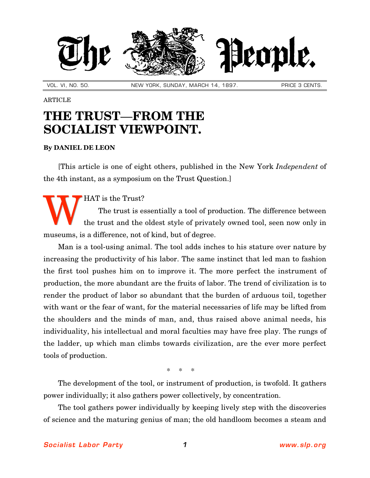

VOL. VI, NO. 50. NEW YORK, SUNDAY, MARCH 14, 1897. PRICE 3 CENTS.

## ARTICLE

## **THE TRUST**—**FROM THE SOCIALIST VIEWPOINT.**

## **By [DANIEL DE LEON](http://slp.org/De_Leon.htm)**

[This article is one of eight others, published in the New York *Independent* of the 4th instant, as a symposium on the Trust Question.]

HAT is the Trust?

The trust is essentially a tool of production. The difference between the trust and the oldest style of privately owned tool, seen now only in museums, is a difference, not of kind, but of degree. W

Man is a tool-using animal. The tool adds inches to his stature over nature by increasing the productivity of his labor. The same instinct that led man to fashion the first tool pushes him on to improve it. The more perfect the instrument of production, the more abundant are the fruits of labor. The trend of civilization is to render the product of labor so abundant that the burden of arduous toil, together with want or the fear of want, for the material necessaries of life may be lifted from the shoulders and the minds of man, and, thus raised above animal needs, his individuality, his intellectual and moral faculties may have free play. The rungs of the ladder, up which man climbs towards civilization, are the ever more perfect tools of production.

\* \* \*

The development of the tool, or instrument of production, is twofold. It gathers power individually; it also gathers power collectively, by concentration.

The tool gathers power individually by keeping lively step with the discoveries of science and the maturing genius of man; the old handloom becomes a steam and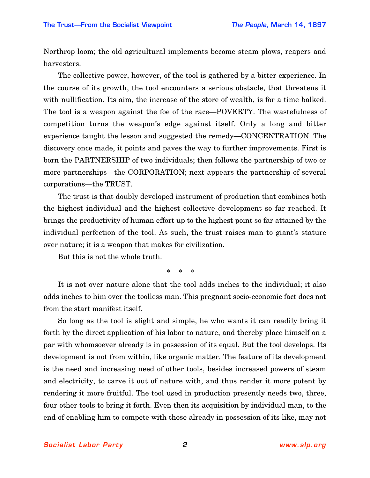Northrop loom; the old agricultural implements become steam plows, reapers and harvesters.

The collective power, however, of the tool is gathered by a bitter experience. In the course of its growth, the tool encounters a serious obstacle, that threatens it with nullification. Its aim, the increase of the store of wealth, is for a time balked. The tool is a weapon against the foe of the race—POVERTY. The wastefulness of competition turns the weapon's edge against itself. Only a long and bitter experience taught the lesson and suggested the remedy—CONCENTRATION. The discovery once made, it points and paves the way to further improvements. First is born the PARTNERSHIP of two individuals; then follows the partnership of two or more partnerships—the CORPORATION; next appears the partnership of several corporations—the TRUST.

The trust is that doubly developed instrument of production that combines both the highest individual and the highest collective development so far reached. It brings the productivity of human effort up to the highest point so far attained by the individual perfection of the tool. As such, the trust raises man to giant's stature over nature; it is a weapon that makes for civilization.

But this is not the whole truth.

\* \* \*

It is not over nature alone that the tool adds inches to the individual; it also adds inches to him over the toolless man. This pregnant socio-economic fact does not from the start manifest itself.

So long as the tool is slight and simple, he who wants it can readily bring it forth by the direct application of his labor to nature, and thereby place himself on a par with whomsoever already is in possession of its equal. But the tool develops. Its development is not from within, like organic matter. The feature of its development is the need and increasing need of other tools, besides increased powers of steam and electricity, to carve it out of nature with, and thus render it more potent by rendering it more fruitful. The tool used in production presently needs two, three, four other tools to bring it forth. Even then its acquisition by individual man, to the end of enabling him to compete with those already in possession of its like, may not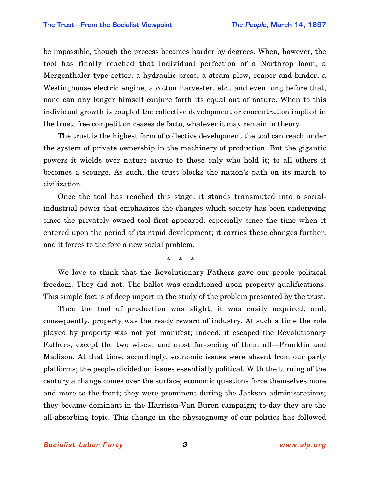be impossible, though the process becomes harder by degrees. When, however, the tool has finally reached that individual perfection of a Northrop loom, a Mergenthaler type setter, a hydraulic press, a steam plow, reaper and binder, a Westinghouse electric engine, a cotton harvester, etc., and even long before that, none can any longer himself conjure forth its equal out of nature. When to this individual growth is coupled the collective development or concentration implied in the trust, free competition ceases de facto, whatever it may remain in theory.

The trust is the highest form of collective development the tool can reach under the system of private ownership in the machinery of production. But the gigantic powers it wields over nature accrue to those only who hold it; to all others it becomes a scourge. As such, the trust blocks the nation's path on its march to civilization.

Once the tool has reached this stage, it stands transmuted into a socialindustrial power that emphasizes the changes which society has been undergoing since the privately owned tool first appeared, especially since the time when it entered upon the period of its rapid development; it carries these changes further, and it forces to the fore a new social problem.

\* \* \*

We love to think that the Revolutionary Fathers gave our people political freedom. They did not. The ballot was conditioned upon property qualifications. This simple fact is of deep import in the study of the problem presented by the trust.

Then the tool of production was slight; it was easily acquired; and, consequently, property was the ready reward of industry. At such a time the role played by property was not yet manifest; indeed, it escaped the Revolutionary Fathers, except the two wisest and most far-seeing of them all—Franklin and Madison. At that time, accordingly, economic issues were absent from our party platforms; the people divided on issues essentially political. With the turning of the century a change comes over the surface; economic questions force themselves more and more to the front; they were prominent during the Jackson administrations; they became dominant in the Harrison-Van Buren campaign; to-day they are the all-absorbing topic. This change in the physiognomy of our politics has followed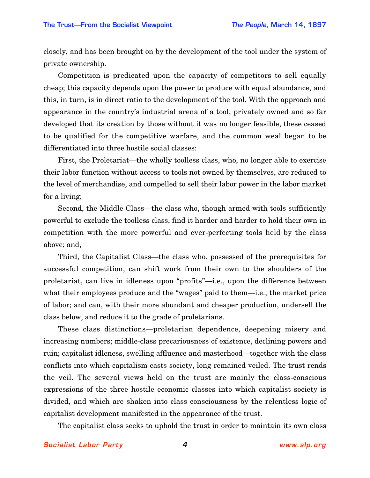closely, and has been brought on by the development of the tool under the system of private ownership.

Competition is predicated upon the capacity of competitors to sell equally cheap; this capacity depends upon the power to produce with equal abundance, and this, in turn, is in direct ratio to the development of the tool. With the approach and appearance in the country's industrial arena of a tool, privately owned and so far developed that its creation by those without it was no longer feasible, these ceased to be qualified for the competitive warfare, and the common weal began to be differentiated into three hostile social classes:

First, the Proletariat—the wholly toolless class, who, no longer able to exercise their labor function without access to tools not owned by themselves, are reduced to the level of merchandise, and compelled to sell their labor power in the labor market for a living;

Second, the Middle Class—the class who, though armed with tools sufficiently powerful to exclude the toolless class, find it harder and harder to hold their own in competition with the more powerful and ever-perfecting tools held by the class above; and,

Third, the Capitalist Class—the class who, possessed of the prerequisites for successful competition, can shift work from their own to the shoulders of the proletariat, can live in idleness upon "profits"—i.e., upon the difference between what their employees produce and the "wages" paid to them—i.e., the market price of labor; and can, with their more abundant and cheaper production, undersell the class below, and reduce it to the grade of proletarians.

These class distinctions—proletarian dependence, deepening misery and increasing numbers; middle-class precariousness of existence, declining powers and ruin; capitalist idleness, swelling affluence and masterhood—together with the class conflicts into which capitalism casts society, long remained veiled. The trust rends the veil. The several views held on the trust are mainly the class-conscious expressions of the three hostile economic classes into which capitalist society is divided, and which are shaken into class consciousness by the relentless logic of capitalist development manifested in the appearance of the trust.

The capitalist class seeks to uphold the trust in order to maintain its own class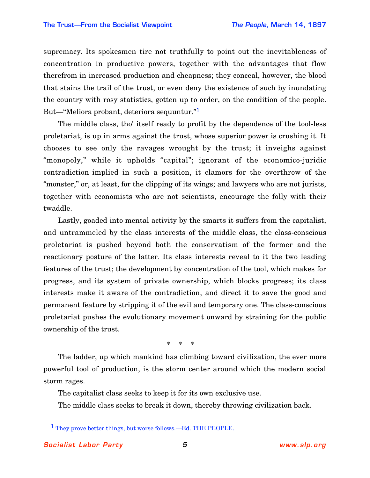supremacy. Its spokesmen tire not truthfully to point out the inevitableness of concentration in productive powers, together with the advantages that flow therefrom in increased production and cheapness; they conceal, however, the blood that stains the trail of the trust, or even deny the existence of such by inundating the country with rosy statistics, gotten up to order, on the condition of the people. But—"Meliora probant, deteriora sequuntur."1

The middle class, tho' itself ready to profit by the dependence of the tool-less proletariat, is up in arms against the trust, whose superior power is crushing it. It chooses to see only the ravages wrought by the trust; it inveighs against "monopoly," while it upholds "capital"; ignorant of the economico-juridic contradiction implied in such a position, it clamors for the overthrow of the "monster," or, at least, for the clipping of its wings; and lawyers who are not jurists, together with economists who are not scientists, encourage the folly with their twaddle.

Lastly, goaded into mental activity by the smarts it suffers from the capitalist, and untrammeled by the class interests of the middle class, the class-conscious proletariat is pushed beyond both the conservatism of the former and the reactionary posture of the latter. Its class interests reveal to it the two leading features of the trust; the development by concentration of the tool, which makes for progress, and its system of private ownership, which blocks progress; its class interests make it aware of the contradiction, and direct it to save the good and permanent feature by stripping it of the evil and temporary one. The class-conscious proletariat pushes the evolutionary movement onward by straining for the public ownership of the trust.

\* \* \*

The ladder, up which mankind has climbing toward civilization, the ever more powerful tool of production, is the storm center around which the modern social storm rages.

The capitalist class seeks to keep it for its own exclusive use.

The middle class seeks to break it down, thereby throwing civilization back.

<u>.</u>

<sup>1</sup> They prove better things, but worse follows.—Ed. THE PEOPLE.